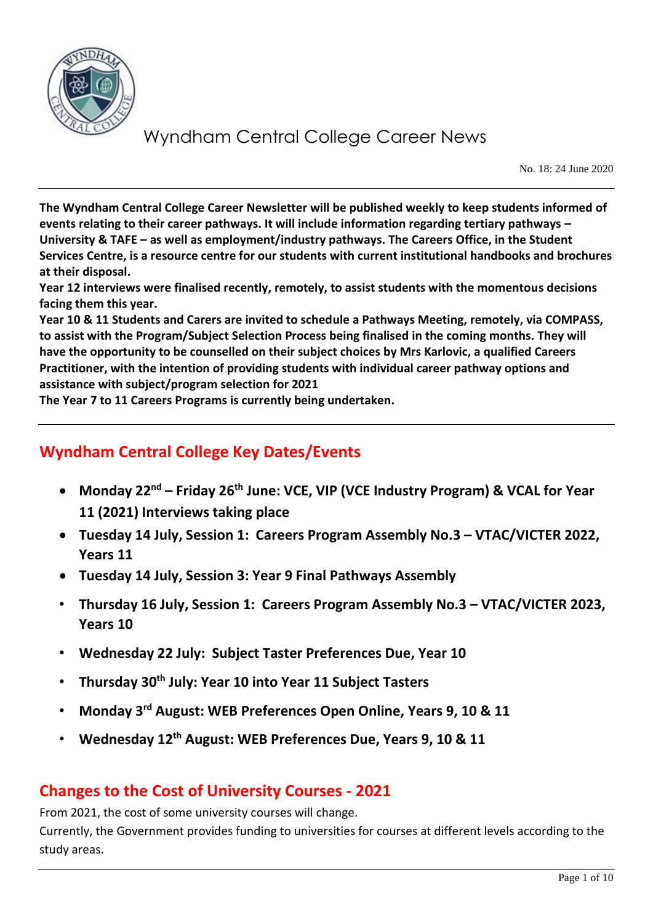

No. 18: 24 June 2020

**The Wyndham Central College Career Newsletter will be published weekly to keep students informed of events relating to their career pathways. It will include information regarding tertiary pathways – University & TAFE – as well as employment/industry pathways. The Careers Office, in the Student Services Centre, is a resource centre for our students with current institutional handbooks and brochures at their disposal.** 

**Year 12 interviews were finalised recently, remotely, to assist students with the momentous decisions facing them this year.** 

**Year 10 & 11 Students and Carers are invited to schedule a Pathways Meeting, remotely, via COMPASS, to assist with the Program/Subject Selection Process being finalised in the coming months. They will have the opportunity to be counselled on their subject choices by Mrs Karlovic, a qualified Careers Practitioner, with the intention of providing students with individual career pathway options and assistance with subject/program selection for 2021**

**The Year 7 to 11 Careers Programs is currently being undertaken.**

### **Wyndham Central College Key Dates/Events**

- **Monday 22nd – Friday 26th June: VCE, VIP (VCE Industry Program) & VCAL for Year 11 (2021) Interviews taking place**
- **Tuesday 14 July, Session 1: Careers Program Assembly No.3 – VTAC/VICTER 2022, Years 11**
- **Tuesday 14 July, Session 3: Year 9 Final Pathways Assembly**
- **Thursday 16 July, Session 1: Careers Program Assembly No.3 – VTAC/VICTER 2023, Years 10**
- **Wednesday 22 July: Subject Taster Preferences Due, Year 10**
- **Thursday 30th July: Year 10 into Year 11 Subject Tasters**
- **Monday 3rd August: WEB Preferences Open Online, Years 9, 10 & 11**
- **Wednesday 12th August: WEB Preferences Due, Years 9, 10 & 11**

### **Changes to the Cost of University Courses - 2021**

From 2021, the cost of some university courses will change.

Currently, the Government provides funding to universities for courses at different levels according to the study areas.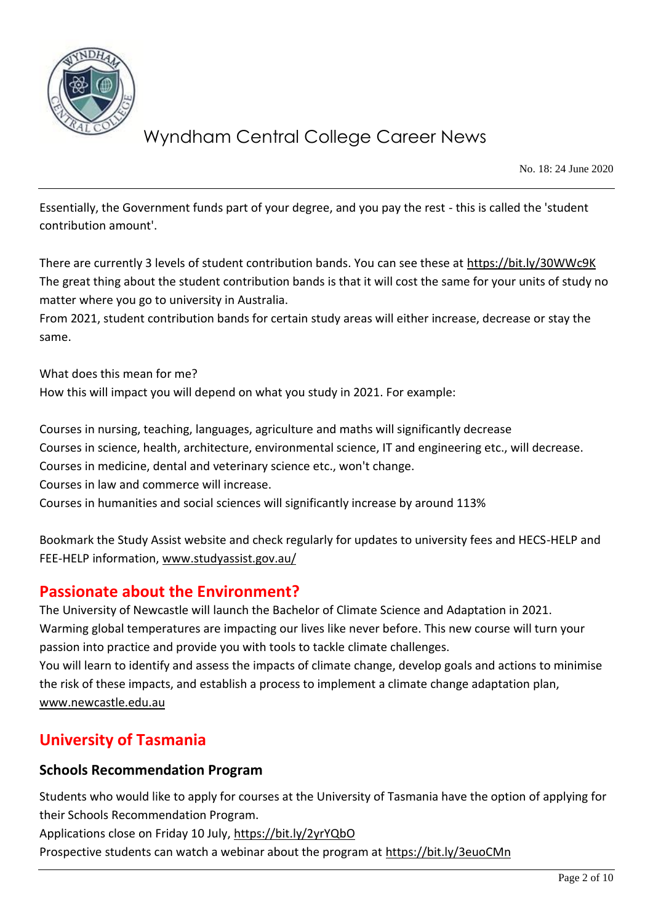

No. 18: 24 June 2020

Essentially, the Government funds part of your degree, and you pay the rest - this is called the 'student contribution amount'.

There are currently 3 levels of student contribution bands. You can see these at [https://bit.ly/30WWc9K](https://bit.ly/30WWc9K?fbclid=IwAR0tUoojZXHi5gmlLPJbtaiHwfq418V-9HMr3Dz4tsV_JOE_vlsqCsgRO_A) The great thing about the student contribution bands is that it will cost the same for your units of study no matter where you go to university in Australia.

From 2021, student contribution bands for certain study areas will either increase, decrease or stay the same.

What does this mean for me? How this will impact you will depend on what you study in 2021. For example:

Courses in nursing, teaching, languages, agriculture and maths will significantly decrease Courses in science, health, architecture, environmental science, IT and engineering etc., will decrease. Courses in medicine, dental and veterinary science etc., won't change. Courses in law and commerce will increase. Courses in humanities and social sciences will significantly increase by around 113%

Bookmark the Study Assist website and check regularly for updates to university fees and HECS-HELP and FEE-HELP information, [www.studyassist.gov.au/](http://www.studyassist.gov.au/)

### **Passionate about the Environment?**

The University of Newcastle will launch the Bachelor of Climate Science and Adaptation in 2021. Warming global temperatures are impacting our lives like never before. This new course will turn your passion into practice and provide you with tools to tackle climate challenges.

You will learn to identify and assess the impacts of climate change, develop goals and actions to minimise the risk of these impacts, and establish a process to implement a climate change adaptation plan, [www.newcastle.edu.au](http://www.newcastle.edu.au/)

### **University of Tasmania**

#### **Schools Recommendation Program**

Students who would like to apply for courses at the University of Tasmania have the option of applying for their Schools Recommendation Program.

Applications close on Friday 10 July,<https://bit.ly/2yrYQbO>

Prospective students can watch a webinar about the program at<https://bit.ly/3euoCMn>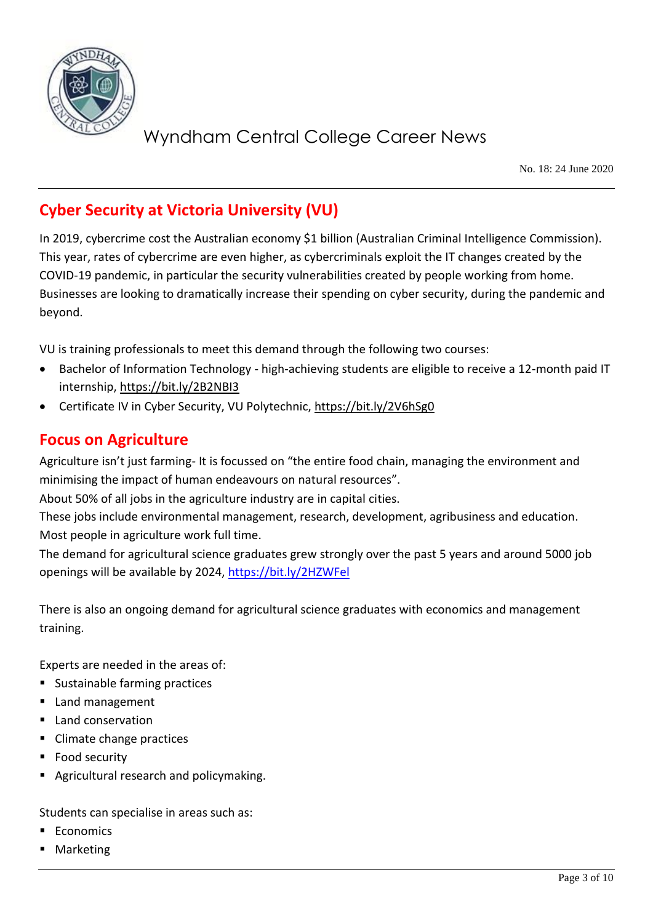

No. 18: 24 June 2020

### **Cyber Security at Victoria University (VU)**

In 2019, cybercrime cost the Australian economy \$1 billion (Australian Criminal Intelligence Commission). This year, rates of cybercrime are even higher, as cybercriminals exploit the IT changes created by the COVID-19 pandemic, in particular the security vulnerabilities created by people working from home. Businesses are looking to dramatically increase their spending on cyber security, during the pandemic and beyond.

VU is training professionals to meet this demand through the following two courses:

- Bachelor of Information Technology high-achieving students are eligible to receive a 12-month paid IT internship,<https://bit.ly/2B2NBI3>
- Certificate IV in Cyber Security, VU Polytechnic,<https://bit.ly/2V6hSg0>

### **Focus on Agriculture**

Agriculture isn't just farming- It is focussed on "the entire food chain, managing the environment and minimising the impact of human endeavours on natural resources".

About 50% of all jobs in the agriculture industry are in capital cities.

These jobs include environmental management, research, development, agribusiness and education. Most people in agriculture work full time.

The demand for agricultural science graduates grew strongly over the past 5 years and around 5000 job openings will be available by 2024,<https://bit.ly/2HZWFel>

There is also an ongoing demand for agricultural science graduates with economics and management training.

Experts are needed in the areas of:

- Sustainable farming practices
- Land management
- Land conservation
- Climate change practices
- Food security
- Agricultural research and policymaking.

Students can specialise in areas such as:

- **Economics**
- **Marketing**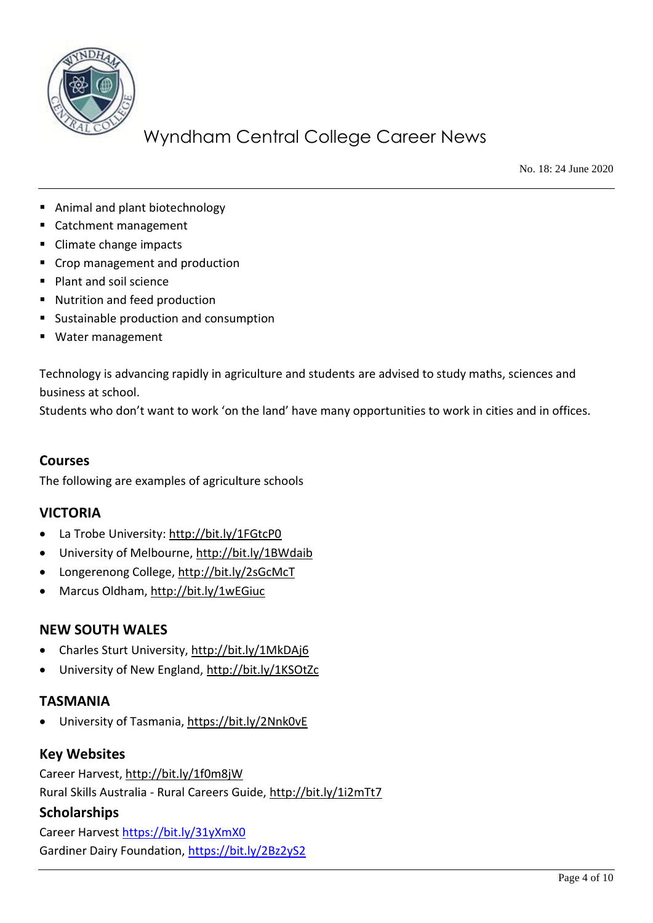

No. 18: 24 June 2020

- Animal and plant biotechnology
- Catchment management
- Climate change impacts
- Crop management and production
- Plant and soil science
- Nutrition and feed production
- Sustainable production and consumption
- Water management

Technology is advancing rapidly in agriculture and students are advised to study maths, sciences and business at school.

Students who don't want to work 'on the land' have many opportunities to work in cities and in offices.

#### **Courses**

The following are examples of agriculture schools

#### **VICTORIA**

- La Trobe University:<http://bit.ly/1FGtcP0>
- University of Melbourne[, http://bit.ly/1BWdaib](http://bit.ly/1BWdaib)
- Longerenong College,<http://bit.ly/2sGcMcT>
- Marcus Oldham,<http://bit.ly/1wEGiuc>

#### **NEW SOUTH WALES**

- Charles Sturt University,<http://bit.ly/1MkDAj6>
- University of New England,<http://bit.ly/1KSOtZc>

#### **TASMANIA**

• University of Tasmania,<https://bit.ly/2Nnk0vE>

#### **Key Websites**

Career Harvest,<http://bit.ly/1f0m8jW> Rural Skills Australia - Rural Careers Guide,<http://bit.ly/1i2mTt7>

#### **Scholarships**

Career Harvest<https://bit.ly/31yXmX0> Gardiner Dairy Foundation,<https://bit.ly/2Bz2yS2>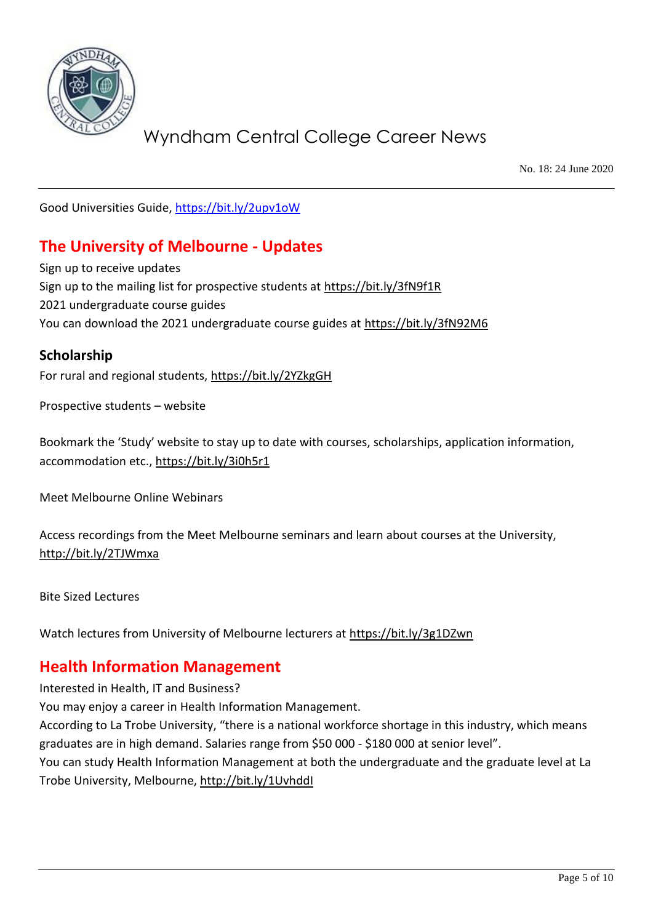

No. 18: 24 June 2020

Good Universities Guide,<https://bit.ly/2upv1oW>

### **The University of Melbourne - Updates**

Sign up to receive updates Sign up to the mailing list for prospective students at<https://bit.ly/3fN9f1R> 2021 undergraduate course guides You can download the 2021 undergraduate course guides at<https://bit.ly/3fN92M6>

#### **Scholarship**

For rural and regional students,<https://bit.ly/2YZkgGH>

Prospective students – website

Bookmark the 'Study' website to stay up to date with courses, scholarships, application information, accommodation etc.[, https://bit.ly/3i0h5r1](https://bit.ly/3i0h5r1)

Meet Melbourne Online Webinars

Access recordings from the Meet Melbourne seminars and learn about courses at the University, <http://bit.ly/2TJWmxa>

Bite Sized Lectures

Watch lectures from University of Melbourne lecturers at<https://bit.ly/3g1DZwn>

#### **Health Information Management**

Interested in Health, IT and Business?

You may enjoy a career in Health Information Management.

According to La Trobe University, "there is a national workforce shortage in this industry, which means graduates are in high demand. Salaries range from \$50 000 - \$180 000 at senior level".

You can study Health Information Management at both the undergraduate and the graduate level at La Trobe University, Melbourne,<http://bit.ly/1UvhddI>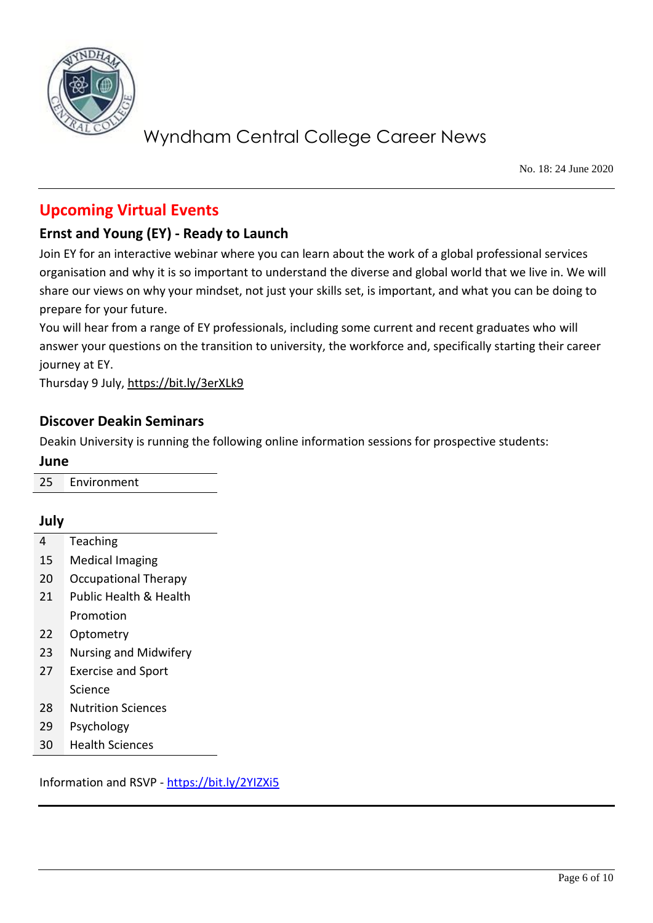

No. 18: 24 June 2020

### **Upcoming Virtual Events**

#### **Ernst and Young (EY) - Ready to Launch**

Join EY for an interactive webinar where you can learn about the work of a global professional services organisation and why it is so important to understand the diverse and global world that we live in. We will share our views on why your mindset, not just your skills set, is important, and what you can be doing to prepare for your future.

You will hear from a range of EY professionals, including some current and recent graduates who will answer your questions on the transition to university, the workforce and, specifically starting their career journey at EY.

Thursday 9 July,<https://bit.ly/3erXLk9>

#### **Discover Deakin Seminars**

Deakin University is running the following online information sessions for prospective students:

**June**

25 Environment

#### **July**

- 4 Teaching
- 15 Medical Imaging
- 20 Occupational Therapy
- 21 Public Health & Health Promotion
- 22 Optometry
- 23 Nursing and Midwifery
- 27 Exercise and Sport Science
- 28 Nutrition Sciences
- 29 Psychology
- 30 Health Sciences

Information and RSVP - <https://bit.ly/2YIZXi5>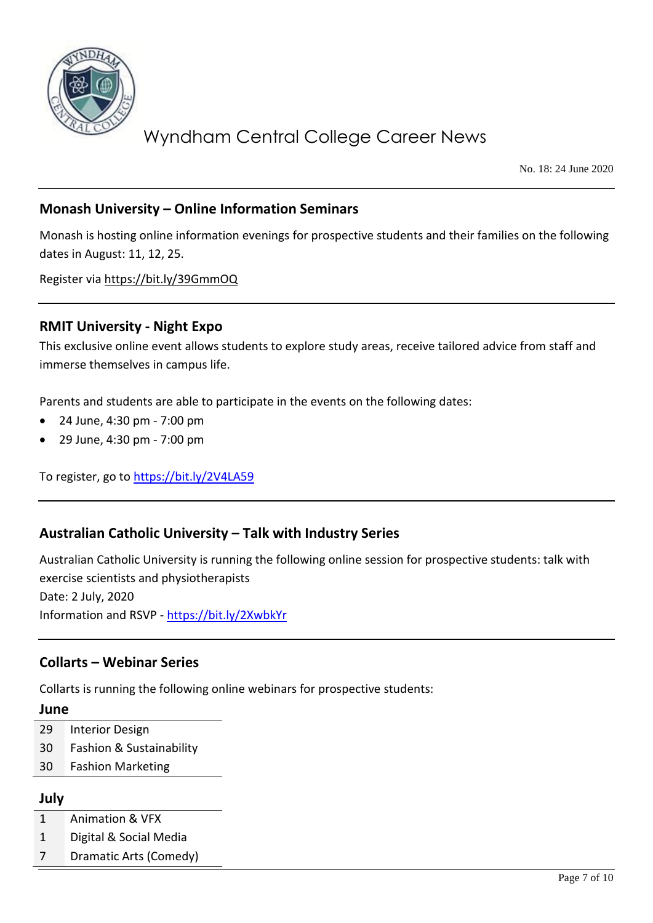

No. 18: 24 June 2020

#### **Monash University – Online Information Seminars**

Monash is hosting online information evenings for prospective students and their families on the following dates in August: 11, 12, 25.

Register via<https://bit.ly/39GmmOQ>

#### **RMIT University - Night Expo**

This exclusive online event allows students to explore study areas, receive tailored advice from staff and immerse themselves in campus life.

Parents and students are able to participate in the events on the following dates:

- 24 June, 4:30 pm 7:00 pm
- 29 June, 4:30 pm 7:00 pm

To register, go to<https://bit.ly/2V4LA59>

#### **Australian Catholic University – Talk with Industry Series**

Australian Catholic University is running the following online session for prospective students: talk with exercise scientists and physiotherapists Date: 2 July, 2020 Information and RSVP - <https://bit.ly/2XwbkYr>

#### **Collarts – Webinar Series**

Collarts is running the following online webinars for prospective students:

#### **June**

- 29 Interior Design
- 30 Fashion & Sustainability
- 30 Fashion Marketing

#### **July**

- 1 Animation & VFX
- 1 Digital & Social Media
- 7 Dramatic Arts (Comedy)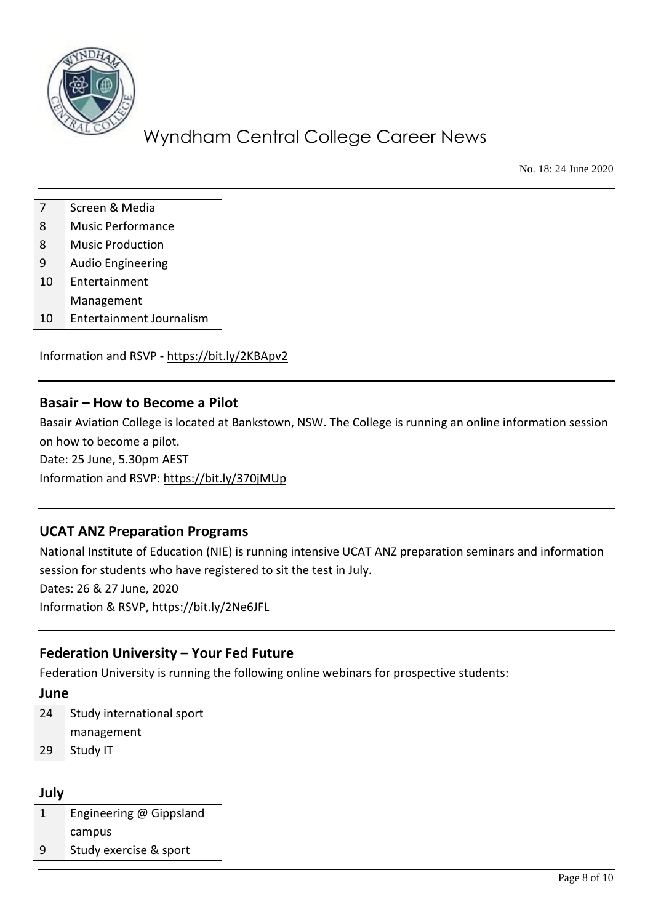

No. 18: 24 June 2020

- 7 Screen & Media
- 8 Music Performance
- 8 Music Production
- 9 Audio Engineering
- 10 Entertainment
- Management
- 10 Entertainment Journalism

Information and RSVP - <https://bit.ly/2KBApv2>

#### **Basair – How to Become a Pilot**

Basair Aviation College is located at Bankstown, NSW. The College is running an online information session on how to become a pilot. Date: 25 June, 5.30pm AEST

Information and RSVP:<https://bit.ly/370jMUp>

# **UCAT ANZ Preparation Programs**

National Institute of Education (NIE) is running intensive UCAT ANZ preparation seminars and information session for students who have registered to sit the test in July. Dates: 26 & 27 June, 2020 Information & RSVP,<https://bit.ly/2Ne6JFL>

#### **Federation University – Your Fed Future**

Federation University is running the following online webinars for prospective students:

#### **June**

24 Study international sport management 29 Study IT

#### **July**

1 Engineering @ Gippsland campus

9 Study exercise & sport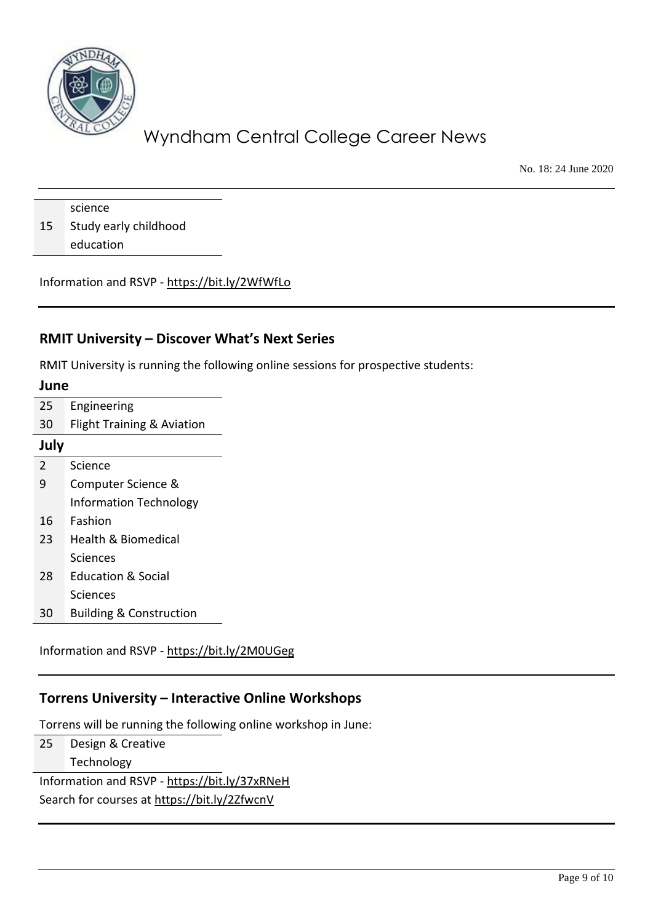

No. 18: 24 June 2020

science 15 Study early childhood education

Information and RSVP - <https://bit.ly/2WfWfLo>

#### **RMIT University – Discover What's Next Series**

RMIT University is running the following online sessions for prospective students:

| June           |                                       |
|----------------|---------------------------------------|
| 25             | Engineering                           |
| 30             | <b>Flight Training &amp; Aviation</b> |
| July           |                                       |
| $\overline{2}$ | Science                               |
| 9              | Computer Science &                    |
|                | <b>Information Technology</b>         |
| 16             | Fashion                               |
| 23             | Health & Biomedical                   |
|                | Sciences                              |
| 28             | <b>Education &amp; Social</b>         |
|                | Sciences                              |
| 30             | <b>Building &amp; Construction</b>    |

Information and RSVP - <https://bit.ly/2M0UGeg>

#### **Torrens University – Interactive Online Workshops**

Torrens will be running the following online workshop in June:

25 Design & Creative Technology

Information and RSVP - <https://bit.ly/37xRNeH> Search for courses at<https://bit.ly/2ZfwcnV>